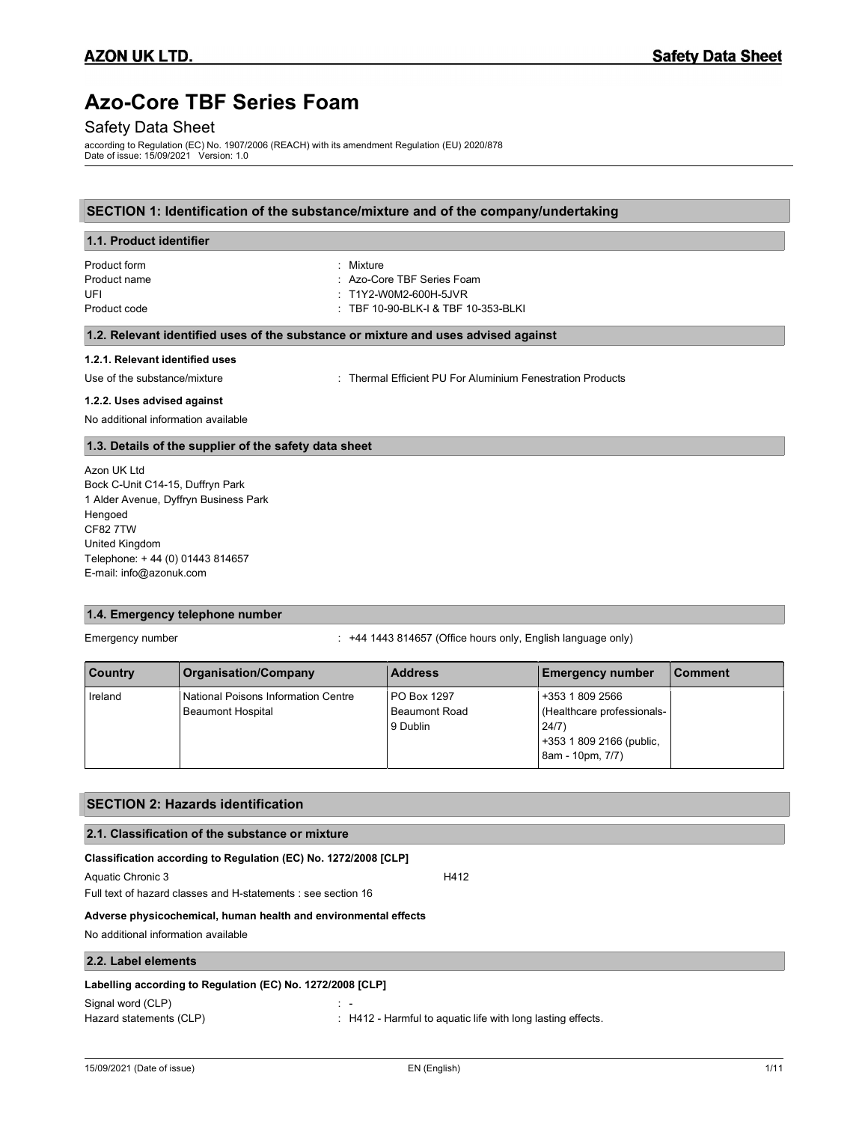# Azo-Core TBF Series Foam

# Safety Data Sheet

according to Regulation (EC) No. 1907/2006 (REACH) with its amendment Regulation (EU) 2020/878 Date of issue: 15/09/2021 Version: 1.0

# SECTION 1: Identification of the substance/mixture and of the company/undertaking

| 1.1. Product identifier         |                                                                                    |  |  |
|---------------------------------|------------------------------------------------------------------------------------|--|--|
| Product form                    | : Mixture                                                                          |  |  |
| Product name                    | : Azo-Core TBF Series Foam                                                         |  |  |
| UFI                             | $\pm$ T1Y2-W0M2-600H-5JVR                                                          |  |  |
| Product code                    | $\pm$ TBF 10-90-BLK-I & TBF 10-353-BLKI                                            |  |  |
|                                 | 1.2. Relevant identified uses of the substance or mixture and uses advised against |  |  |
| 1.2.1. Relevant identified uses |                                                                                    |  |  |
| Use of the substance/mixture    | : Thermal Efficient PU For Aluminium Fenestration Products                         |  |  |

#### 1.2.2. Uses advised against

No additional information available

# 1.3. Details of the supplier of the safety data sheet

Azon UK Ltd Bock C-Unit C14-15, Duffryn Park 1 Alder Avenue, Dyffryn Business Park Hengoed CF82 7TW United Kingdom Telephone: + 44 (0) 01443 814657 E-mail: info@azonuk.com

# 1.4. Emergency telephone number

Emergency number **Emergency number** : +44 1443 814657 (Office hours only, English language only)

| <b>Country</b> | <b>Organisation/Company</b>                              | <b>Address</b>                                         | <b>Emergency number</b>                                                                               | <b>Comment</b> |
|----------------|----------------------------------------------------------|--------------------------------------------------------|-------------------------------------------------------------------------------------------------------|----------------|
| Ireland        | National Poisons Information Centre<br>Beaumont Hospital | <b>PO Box 1297</b><br><b>Beaumont Road</b><br>9 Dublin | +353 1 809 2566<br>(Healthcare professionals-<br>24/7<br>+353 1 809 2166 (public,<br>8am - 10pm, 7/7) |                |

### SECTION 2: Hazards identification

# 2.1. Classification of the substance or mixture

# Classification according to Regulation (EC) No. 1272/2008 [CLP]

Aquatic Chronic 3 H412

Full text of hazard classes and H-statements : see section 16

#### Adverse physicochemical, human health and environmental effects

No additional information available

### 2.2. Label elements

#### Labelling according to Regulation (EC) No. 1272/2008 [CLP]

Signal word (CLP)

Hazard statements (CLP)  $\qquad \qquad$ : H412 - Harmful to aquatic life with long lasting effects.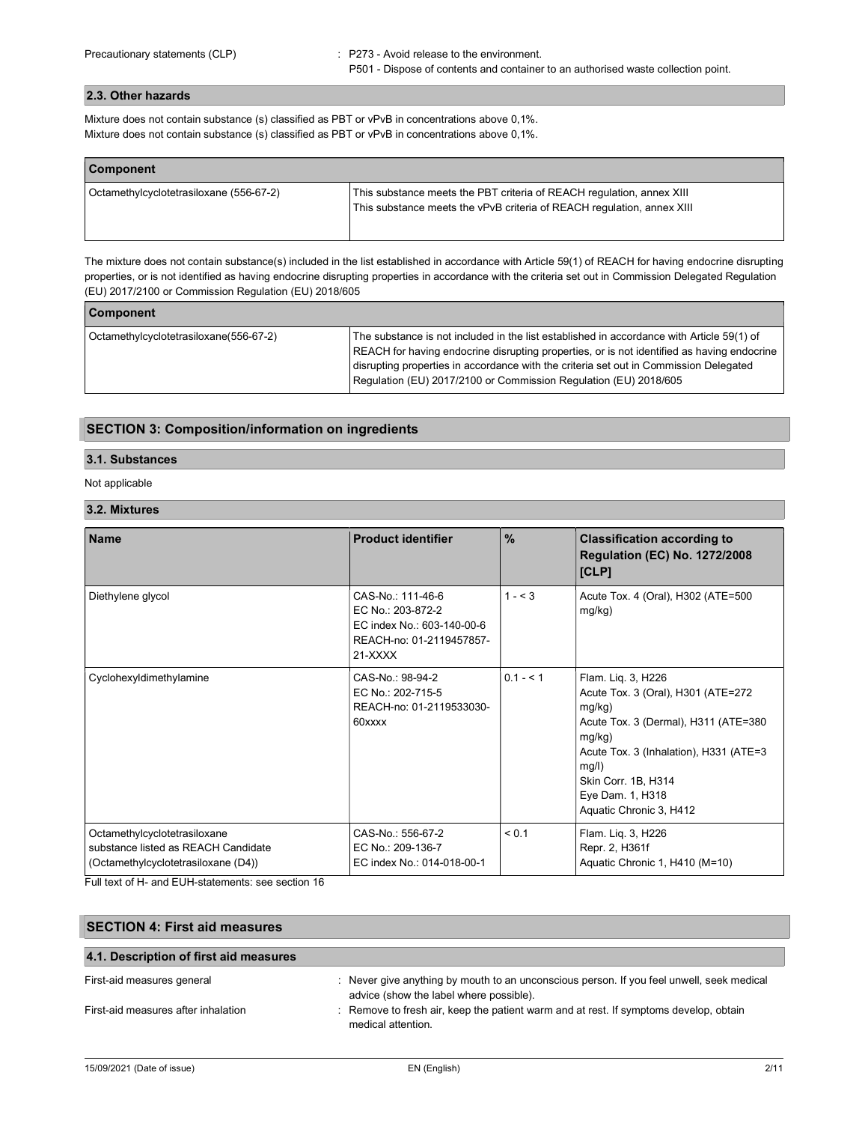# 2.3. Other hazards

Mixture does not contain substance (s) classified as PBT or vPvB in concentrations above 0,1%. Mixture does not contain substance (s) classified as PBT or vPvB in concentrations above 0,1%.

| <b>Component</b>                        |                                                                                                                                                 |  |
|-----------------------------------------|-------------------------------------------------------------------------------------------------------------------------------------------------|--|
| Octamethylcyclotetrasiloxane (556-67-2) | This substance meets the PBT criteria of REACH regulation, annex XIII<br>This substance meets the vPvB criteria of REACH regulation, annex XIII |  |

The mixture does not contain substance(s) included in the list established in accordance with Article 59(1) of REACH for having endocrine disrupting properties, or is not identified as having endocrine disrupting properties in accordance with the criteria set out in Commission Delegated Regulation (EU) 2017/2100 or Commission Regulation (EU) 2018/605

| <b>Component</b>                       |                                                                                                                                                                                                                                                                                                                                                      |
|----------------------------------------|------------------------------------------------------------------------------------------------------------------------------------------------------------------------------------------------------------------------------------------------------------------------------------------------------------------------------------------------------|
| Octamethylcyclotetrasiloxane(556-67-2) | The substance is not included in the list established in accordance with Article 59(1) of<br>REACH for having endocrine disrupting properties, or is not identified as having endocrine<br>disrupting properties in accordance with the criteria set out in Commission Delegated<br>Regulation (EU) 2017/2100 or Commission Regulation (EU) 2018/605 |

# SECTION 3: Composition/information on ingredients

# 3.1. Substances

## Not applicable

#### 3.2. Mixtures

| <b>Name</b>                                                                                                | <b>Product identifier</b>                                                                                     | $\frac{0}{0}$ | <b>Classification according to</b><br><b>Regulation (EC) No. 1272/2008</b><br>[CLP]                                                                                                                                                            |
|------------------------------------------------------------------------------------------------------------|---------------------------------------------------------------------------------------------------------------|---------------|------------------------------------------------------------------------------------------------------------------------------------------------------------------------------------------------------------------------------------------------|
| Diethylene glycol                                                                                          | CAS-No.: 111-46-6<br>EC No.: 203-872-2<br>EC index No.: 603-140-00-6<br>REACH-no: 01-2119457857-<br>$21-XXXX$ | $1 - 3$       | Acute Tox. 4 (Oral), H302 (ATE=500<br>mg/kg)                                                                                                                                                                                                   |
| Cyclohexyldimethylamine                                                                                    | CAS-No.: 98-94-2<br>EC No.: 202-715-5<br>REACH-no: 01-2119533030-<br>60xxxx                                   | $0.1 - 5.1$   | Flam. Liq. 3, H226<br>Acute Tox. 3 (Oral), H301 (ATE=272)<br>mg/kg)<br>Acute Tox. 3 (Dermal), H311 (ATE=380<br>mg/kg)<br>Acute Tox. 3 (Inhalation), H331 (ATE=3<br>mg/l)<br>Skin Corr. 1B, H314<br>Eye Dam. 1, H318<br>Aquatic Chronic 3, H412 |
| Octamethylcyclotetrasiloxane<br>substance listed as REACH Candidate<br>(Octamethylcyclotetrasiloxane (D4)) | CAS-No.: 556-67-2<br>EC No.: 209-136-7<br>EC index No.: 014-018-00-1                                          | < 0.1         | Flam. Liq. 3, H226<br>Repr. 2, H361f<br>Aquatic Chronic 1, H410 (M=10)                                                                                                                                                                         |

Full text of H- and EUH-statements: see section 16

| <b>SECTION 4: First aid measures</b>   |                                                                                                                                      |  |
|----------------------------------------|--------------------------------------------------------------------------------------------------------------------------------------|--|
| 4.1. Description of first aid measures |                                                                                                                                      |  |
| First-aid measures general             | : Never give anything by mouth to an unconscious person. If you feel unwell, seek medical<br>advice (show the label where possible). |  |
| First-aid measures after inhalation    | : Remove to fresh air, keep the patient warm and at rest. If symptoms develop, obtain<br>medical attention                           |  |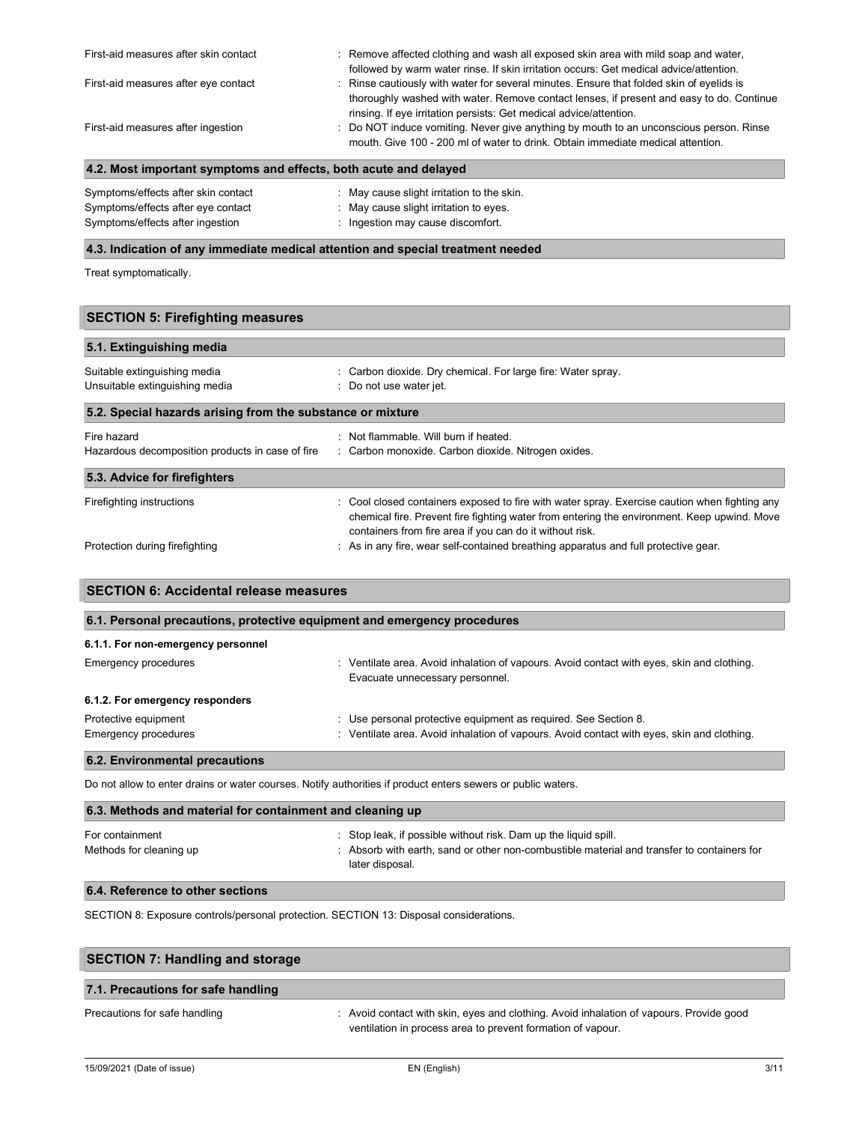| 4.2. Most important symptoms and effects, both acute and delayed |                                                                                                                                                                                    |  |
|------------------------------------------------------------------|------------------------------------------------------------------------------------------------------------------------------------------------------------------------------------|--|
| First-aid measures after ingestion                               | : Do NOT induce vomiting. Never give anything by mouth to an unconscious person. Rinse<br>mouth. Give 100 - 200 ml of water to drink. Obtain immediate medical attention.          |  |
|                                                                  | thoroughly washed with water. Remove contact lenses, if present and easy to do. Continue<br>rinsing. If eye irritation persists: Get medical advice/attention.                     |  |
| First-aid measures after eye contact                             | followed by warm water rinse. If skin irritation occurs: Get medical advice/attention.<br>: Rinse cautiously with water for several minutes. Ensure that folded skin of eyelids is |  |
| First-aid measures after skin contact                            | : Remove affected clothing and wash all exposed skin area with mild soap and water,                                                                                                |  |

| Symptoms/effects after skin contact | : May cause slight irritation to the skin. |
|-------------------------------------|--------------------------------------------|
| Symptoms/effects after eye contact  | : May cause slight irritation to eyes.     |
| Symptoms/effects after ingestion    | : Ingestion may cause discomfort.          |

# 4.3. Indication of any immediate medical attention and special treatment needed

Treat symptomatically.

| <b>SECTION 5: Firefighting measures</b>                        |                                                                                                                                                                                                                                                          |  |  |
|----------------------------------------------------------------|----------------------------------------------------------------------------------------------------------------------------------------------------------------------------------------------------------------------------------------------------------|--|--|
| 5.1. Extinguishing media                                       |                                                                                                                                                                                                                                                          |  |  |
| Suitable extinguishing media<br>Unsuitable extinguishing media | : Carbon dioxide. Dry chemical. For large fire: Water spray.<br>: Do not use water jet.                                                                                                                                                                  |  |  |
| 5.2. Special hazards arising from the substance or mixture     |                                                                                                                                                                                                                                                          |  |  |
| Fire hazard                                                    | : Not flammable. Will burn if heated.                                                                                                                                                                                                                    |  |  |
| Hazardous decomposition products in case of fire               | : Carbon monoxide. Carbon dioxide. Nitrogen oxides.                                                                                                                                                                                                      |  |  |
| 5.3. Advice for firefighters                                   |                                                                                                                                                                                                                                                          |  |  |
| Firefighting instructions                                      | : Cool closed containers exposed to fire with water spray. Exercise caution when fighting any<br>chemical fire. Prevent fire fighting water from entering the environment. Keep upwind. Move<br>containers from fire area if you can do it without risk. |  |  |
| Protection during firefighting                                 | : As in any fire, wear self-contained breathing apparatus and full protective gear.                                                                                                                                                                      |  |  |

| 6.1. Personal precautions, protective equipment and emergency procedures |                                                                                                                               |  |
|--------------------------------------------------------------------------|-------------------------------------------------------------------------------------------------------------------------------|--|
| 6.1.1. For non-emergency personnel                                       |                                                                                                                               |  |
| <b>Emergency procedures</b>                                              | : Ventilate area. Avoid inhalation of vapours. Avoid contact with eyes, skin and clothing.<br>Evacuate unnecessary personnel. |  |
| 6.1.2. For emergency responders                                          |                                                                                                                               |  |
| Protective equipment                                                     | : Use personal protective equipment as required. See Section 8.                                                               |  |
| Emergency procedures                                                     | : Ventilate area. Avoid inhalation of vapours. Avoid contact with eyes, skin and clothing.                                    |  |

Do not allow to enter drains or water courses. Notify authorities if product enters sewers or public waters.

| 6.3. Methods and material for containment and cleaning up |                                                                                                                                                                                  |  |
|-----------------------------------------------------------|----------------------------------------------------------------------------------------------------------------------------------------------------------------------------------|--|
| For containment<br>Methods for cleaning up                | : Stop leak, if possible without risk. Dam up the liquid spill.<br>: Absorb with earth, sand or other non-combustible material and transfer to containers for<br>later disposal. |  |
| 6.4. Reference to other sections                          |                                                                                                                                                                                  |  |

SECTION 8: Exposure controls/personal protection. SECTION 13: Disposal considerations.

| <b>SECTION 7: Handling and storage</b> |                                                                                                                                                        |  |
|----------------------------------------|--------------------------------------------------------------------------------------------------------------------------------------------------------|--|
| 7.1. Precautions for safe handling     |                                                                                                                                                        |  |
| Precautions for safe handling          | : Avoid contact with skin, eyes and clothing. Avoid inhalation of vapours. Provide good<br>ventilation in process area to prevent formation of vapour. |  |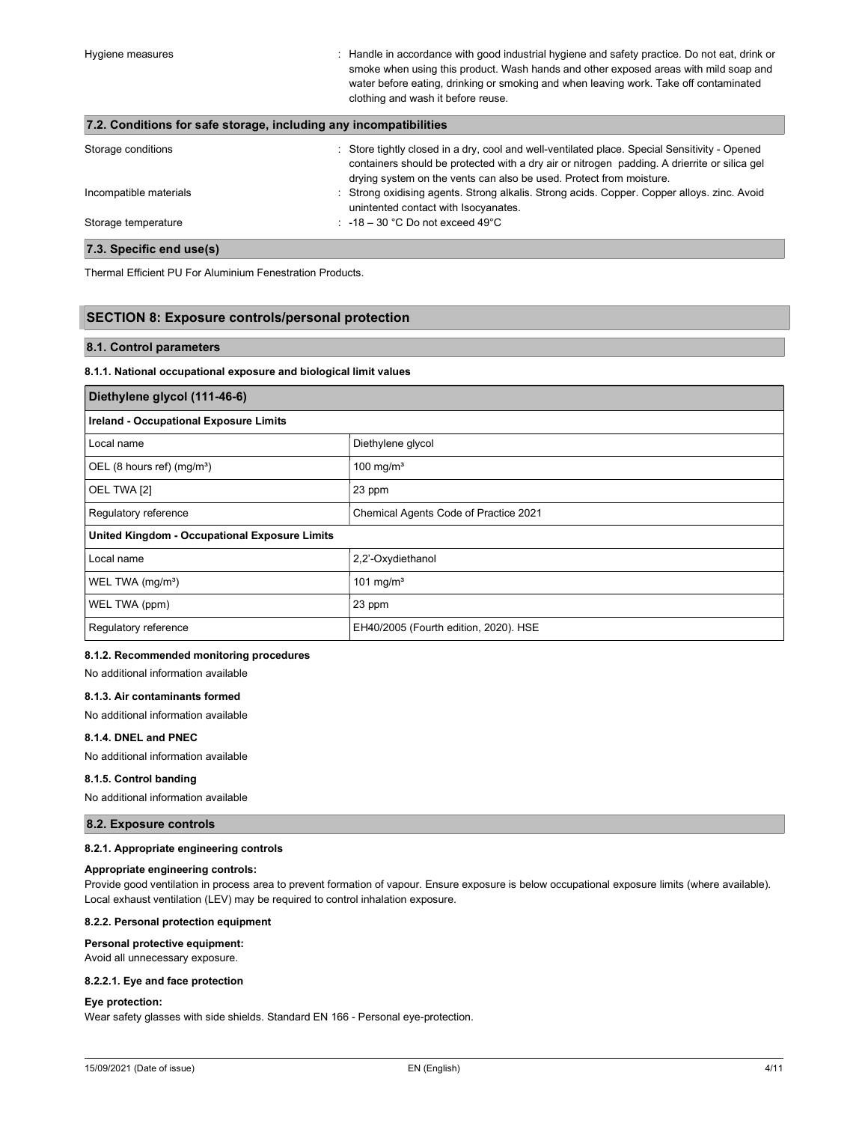Hygiene measures : Handle in accordance with good industrial hygiene and safety practice. Do not eat, drink or smoke when using this product. Wash hands and other exposed areas with mild soap and water before eating, drinking or smoking and when leaving work. Take off contaminated clothing and wash it before reuse.

| 7.2. Conditions for safe storage, including any incompatibilities |                                                                                                                                                                                                                                                                      |  |
|-------------------------------------------------------------------|----------------------------------------------------------------------------------------------------------------------------------------------------------------------------------------------------------------------------------------------------------------------|--|
| Storage conditions                                                | : Store tightly closed in a dry, cool and well-ventilated place. Special Sensitivity - Opened<br>containers should be protected with a dry air or nitrogen padding. A drierrite or silica gel<br>drying system on the vents can also be used. Protect from moisture. |  |
| Incompatible materials                                            | : Strong oxidising agents. Strong alkalis. Strong acids. Copper. Copper alloys. zinc. Avoid<br>unintented contact with Isocyanates.                                                                                                                                  |  |
| Storage temperature                                               | : $-18 - 30$ °C Do not exceed 49°C                                                                                                                                                                                                                                   |  |
| Canalis and usafel                                                |                                                                                                                                                                                                                                                                      |  |

#### 7.3. Specific end use(s)

Thermal Efficient PU For Aluminium Fenestration Products.

#### SECTION 8: Exposure controls/personal protection

#### 8.1. Control parameters

#### 8.1.1. National occupational exposure and biological limit values

| Diethylene glycol (111-46-6)                         |                                       |
|------------------------------------------------------|---------------------------------------|
| <b>Ireland - Occupational Exposure Limits</b>        |                                       |
| Local name                                           | Diethylene glycol                     |
| OEL (8 hours ref) (mg/m <sup>3</sup> )               | 100 mg/ $m3$                          |
| OEL TWA [2]                                          | 23 ppm                                |
| Regulatory reference                                 | Chemical Agents Code of Practice 2021 |
| <b>United Kingdom - Occupational Exposure Limits</b> |                                       |
| Local name                                           | 2,2'-Oxydiethanol                     |
| WEL TWA (mg/m <sup>3</sup> )                         | 101 mg/m <sup>3</sup>                 |
| WEL TWA (ppm)                                        | 23 ppm                                |
| Regulatory reference                                 | EH40/2005 (Fourth edition, 2020). HSE |

# 8.1.2. Recommended monitoring procedures

No additional information available

#### 8.1.3. Air contaminants formed

No additional information available

#### 8.1.4. DNEL and PNEC

No additional information available

#### 8.1.5. Control banding

No additional information available

#### 8.2. Exposure controls

#### 8.2.1. Appropriate engineering controls

#### Appropriate engineering controls:

Provide good ventilation in process area to prevent formation of vapour. Ensure exposure is below occupational exposure limits (where available). Local exhaust ventilation (LEV) may be required to control inhalation exposure.

#### 8.2.2. Personal protection equipment

#### Personal protective equipment:

Avoid all unnecessary exposure.

#### 8.2.2.1. Eye and face protection

#### Eye protection:

Wear safety glasses with side shields. Standard EN 166 - Personal eye-protection.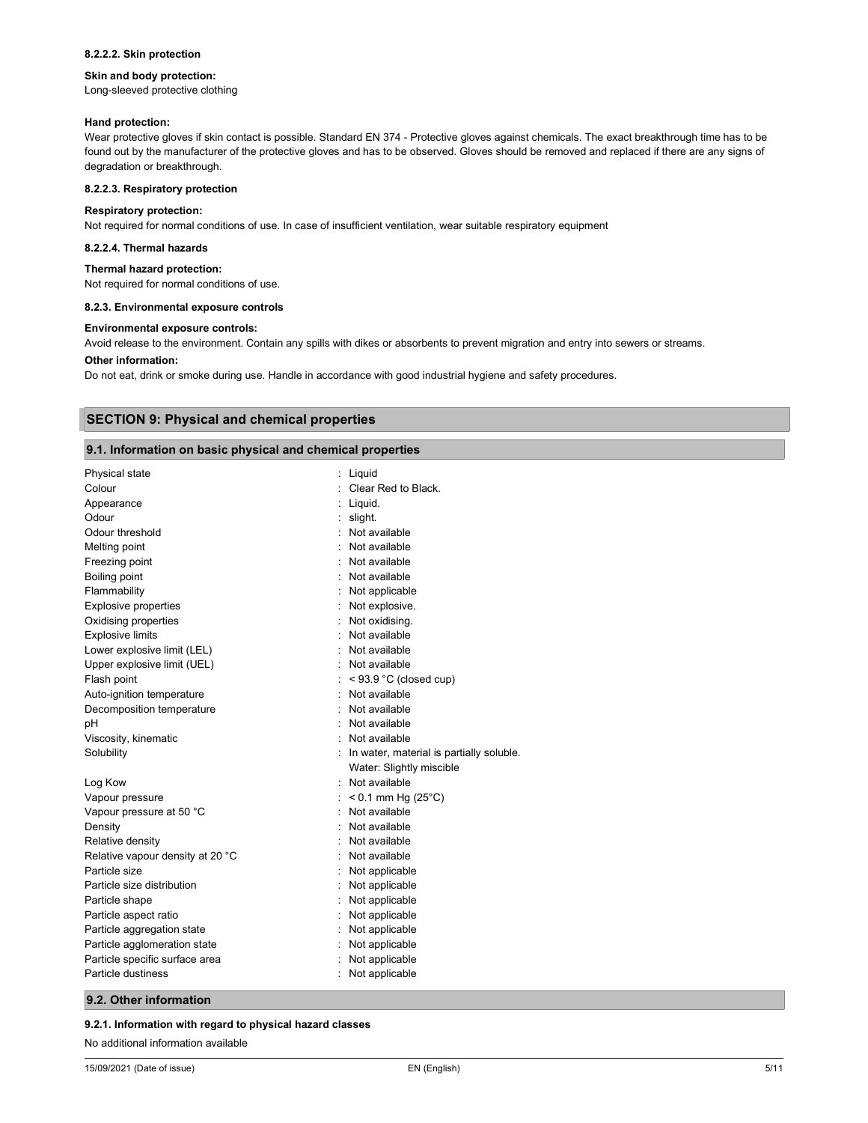#### 8.2.2.2. Skin protection

#### Skin and body protection:

Long-sleeved protective clothing

#### Hand protection:

Wear protective gloves if skin contact is possible. Standard EN 374 - Protective gloves against chemicals. The exact breakthrough time has to be found out by the manufacturer of the protective gloves and has to be observed. Gloves should be removed and replaced if there are any signs of degradation or breakthrough.

#### 8.2.2.3. Respiratory protection

#### Respiratory protection:

Not required for normal conditions of use. In case of insufficient ventilation, wear suitable respiratory equipment

#### 8.2.2.4. Thermal hazards

#### Thermal hazard protection:

Not required for normal conditions of use.

#### 8.2.3. Environmental exposure controls

#### Environmental exposure controls:

Avoid release to the environment. Contain any spills with dikes or absorbents to prevent migration and entry into sewers or streams.

#### Other information:

Do not eat, drink or smoke during use. Handle in accordance with good industrial hygiene and safety procedures.

# SECTION 9: Physical and chemical properties

## 9.1. Information on basic physical and chemical properties

| Liquid                                     |
|--------------------------------------------|
| Clear Red to Black.                        |
| $:$ Liquid.                                |
| $:$ slight.                                |
| : Not available                            |
| Not available                              |
| Not available                              |
| Not available                              |
| Not applicable                             |
| Not explosive.                             |
| Not oxidising.                             |
| Not available                              |
| : Not available                            |
| : Not available                            |
| $:$ < 93.9 °C (closed cup)                 |
| Not available                              |
| Not available                              |
| Not available                              |
| : Not available                            |
| : In water, material is partially soluble. |
| Water: Slightly miscible                   |
| Not available                              |
| $< 0.1$ mm Hg (25 $^{\circ}$ C)            |
| Not available                              |
| Not available                              |
| Not available                              |
| Not available                              |
| Not applicable                             |
| Not applicable                             |
| : Not applicable                           |
| : Not applicable                           |
| Not applicable                             |
| Not applicable                             |
| Not applicable                             |
| Not applicable                             |
|                                            |

### 9.2. Other information

#### 9.2.1. Information with regard to physical hazard classes

No additional information available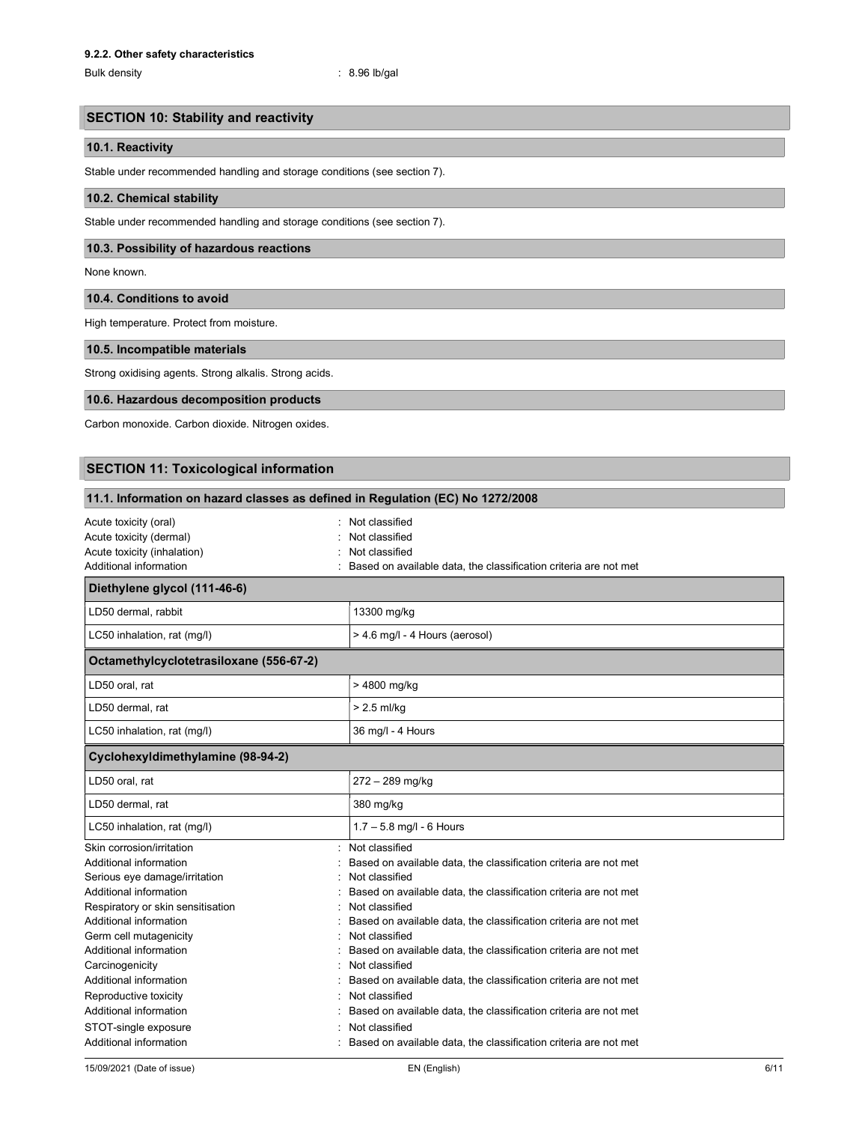Bulk density : 8.96 lb/gal

# SECTION 10: Stability and reactivity

# 10.1. Reactivity

Stable under recommended handling and storage conditions (see section 7).

### 10.2. Chemical stability

Stable under recommended handling and storage conditions (see section 7).

# 10.3. Possibility of hazardous reactions

None known.

#### 10.4. Conditions to avoid

High temperature. Protect from moisture.

## 10.5. Incompatible materials

Strong oxidising agents. Strong alkalis. Strong acids.

# 10.6. Hazardous decomposition products

Carbon monoxide. Carbon dioxide. Nitrogen oxides.

# SECTION 11: Toxicological information

| 11.1. Information on hazard classes as defined in Regulation (EC) No 1272/2008                                  |                                                                                                                                                                          |  |
|-----------------------------------------------------------------------------------------------------------------|--------------------------------------------------------------------------------------------------------------------------------------------------------------------------|--|
| Acute toxicity (oral)<br>Acute toxicity (dermal)<br>Acute toxicity (inhalation)<br>Additional information       | Not classified<br>Not classified<br>Not classified<br>Based on available data, the classification criteria are not met                                                   |  |
| Diethylene glycol (111-46-6)                                                                                    |                                                                                                                                                                          |  |
| LD50 dermal, rabbit                                                                                             | 13300 mg/kg                                                                                                                                                              |  |
| LC50 inhalation, rat (mg/l)                                                                                     | > 4.6 mg/l - 4 Hours (aerosol)                                                                                                                                           |  |
| Octamethylcyclotetrasiloxane (556-67-2)                                                                         |                                                                                                                                                                          |  |
| LD50 oral, rat                                                                                                  | > 4800 mg/kg                                                                                                                                                             |  |
| LD50 dermal, rat                                                                                                | $> 2.5$ ml/kg                                                                                                                                                            |  |
| LC50 inhalation, rat (mg/l)                                                                                     | 36 mg/l - 4 Hours                                                                                                                                                        |  |
| Cyclohexyldimethylamine (98-94-2)                                                                               |                                                                                                                                                                          |  |
| LD50 oral, rat                                                                                                  | 272 - 289 mg/kg                                                                                                                                                          |  |
| LD50 dermal, rat                                                                                                | 380 mg/kg                                                                                                                                                                |  |
| LC50 inhalation, rat (mg/l)                                                                                     | $1.7 - 5.8$ mg/l - 6 Hours                                                                                                                                               |  |
| Skin corrosion/irritation<br>Additional information<br>Serious eye damage/irritation<br>Additional information  | Not classified<br>Based on available data, the classification criteria are not met<br>Not classified<br>Based on available data, the classification criteria are not met |  |
| Respiratory or skin sensitisation<br>Additional information<br>Germ cell mutagenicity<br>Additional information | Not classified<br>Based on available data, the classification criteria are not met<br>Not classified<br>Based on available data, the classification criteria are not met |  |
| Carcinogenicity<br>Additional information<br>Reproductive toxicity<br>Additional information                    | Not classified<br>Based on available data, the classification criteria are not met<br>Not classified<br>Based on available data, the classification criteria are not met |  |
| STOT-single exposure<br>Additional information                                                                  | Not classified<br>Based on available data, the classification criteria are not met                                                                                       |  |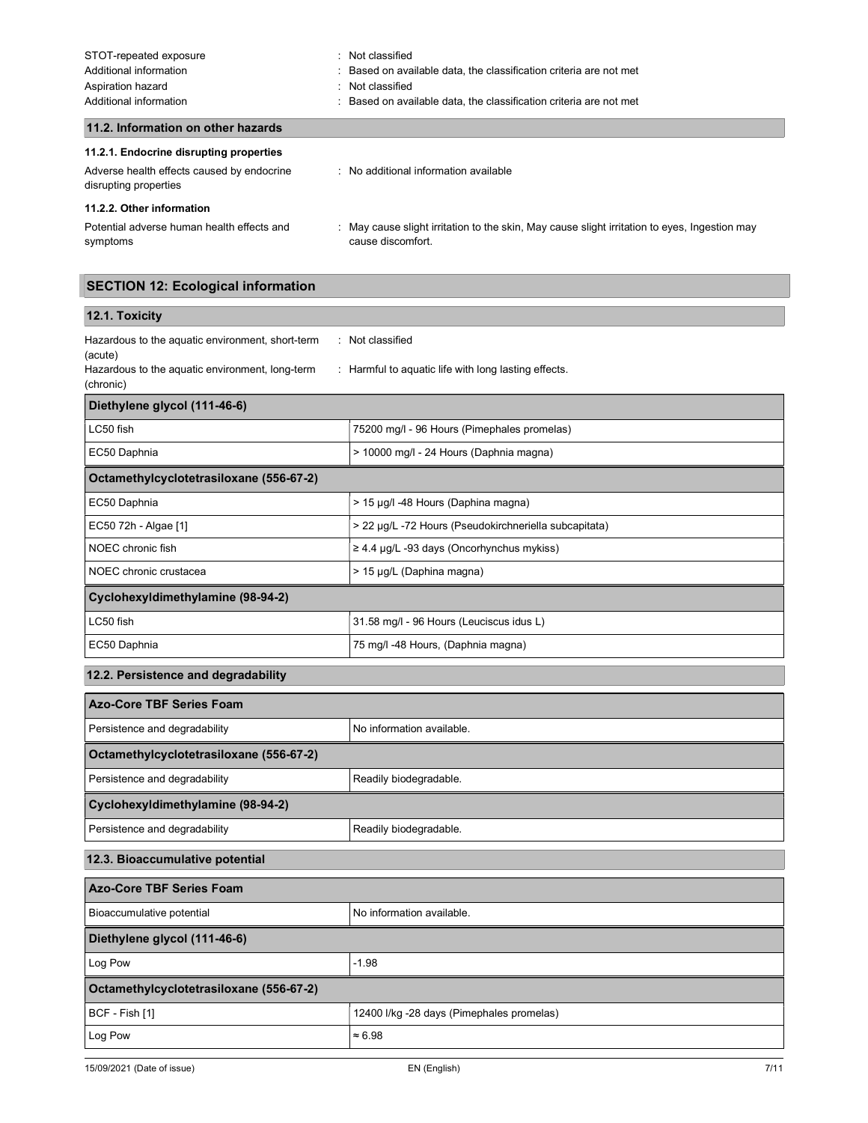| STOT-repeated exposure<br>Additional information<br>Aspiration hazard<br>Additional information                | Not classified<br>Based on available data, the classification criteria are not met<br>Not classified<br>٠<br>Based on available data, the classification criteria are not met |
|----------------------------------------------------------------------------------------------------------------|-------------------------------------------------------------------------------------------------------------------------------------------------------------------------------|
| 11.2. Information on other hazards                                                                             |                                                                                                                                                                               |
| 11.2.1. Endocrine disrupting properties<br>Adverse health effects caused by endocrine<br>disrupting properties | : No additional information available                                                                                                                                         |

11.2.2. Other information

Potential adverse human health effects and symptoms : May cause slight irritation to the skin, May cause slight irritation to eyes, Ingestion may cause discomfort.

# SECTION 12: Ecological information

# 12.1. Toxicity

| Hazardous to the aquatic environment, short-term | Not classified                                       |
|--------------------------------------------------|------------------------------------------------------|
| (acute)                                          |                                                      |
| Hazardous to the aguatic environment. long-term  | : Harmful to aguatic life with long lasting effects. |
| (chronic)                                        |                                                      |

| Diethylene glycol (111-46-6)            |                                                       |  |
|-----------------------------------------|-------------------------------------------------------|--|
| LC50 fish                               | 75200 mg/l - 96 Hours (Pimephales promelas)           |  |
| EC50 Daphnia                            | > 10000 mg/l - 24 Hours (Daphnia magna)               |  |
| Octamethylcyclotetrasiloxane (556-67-2) |                                                       |  |
| EC50 Daphnia                            | > 15 µg/l -48 Hours (Daphina magna)                   |  |
| EC50 72h - Algae [1]                    | > 22 µg/L -72 Hours (Pseudokirchneriella subcapitata) |  |
| NOEC chronic fish                       | $\geq$ 4.4 µg/L -93 days (Oncorhynchus mykiss)        |  |
| NOEC chronic crustacea                  | > 15 µg/L (Daphina magna)                             |  |
| Cyclohexyldimethylamine (98-94-2)       |                                                       |  |
| LC50 fish                               | 31.58 mg/l - 96 Hours (Leuciscus idus L)              |  |
| EC50 Daphnia                            | 75 mg/l -48 Hours, (Daphnia magna)                    |  |

# 12.2. Persistence and degradability

| <b>Azo-Core TBF Series Foam</b>         |                           |  |
|-----------------------------------------|---------------------------|--|
| Persistence and degradability           | No information available. |  |
| Octamethylcyclotetrasiloxane (556-67-2) |                           |  |
| Persistence and degradability           | Readily biodegradable.    |  |
| Cyclohexyldimethylamine (98-94-2)       |                           |  |
| Persistence and degradability           | Readily biodegradable.    |  |
| 12.3. Bioaccumulative potential         |                           |  |
| <b>Azo-Core TBF Series Foam</b>         |                           |  |
| Bioaccumulative potential               | No information available. |  |
| Diethylene glycol (111-46-6)            |                           |  |
| Log Pow                                 | $-1.98$                   |  |
| Octamethylcyclotetrasiloxane (556-67-2) |                           |  |

BCF - Fish [1] **12400 I/kg -28 days (Pimephales promelas)** 

Log Pow  $\approx 6.98$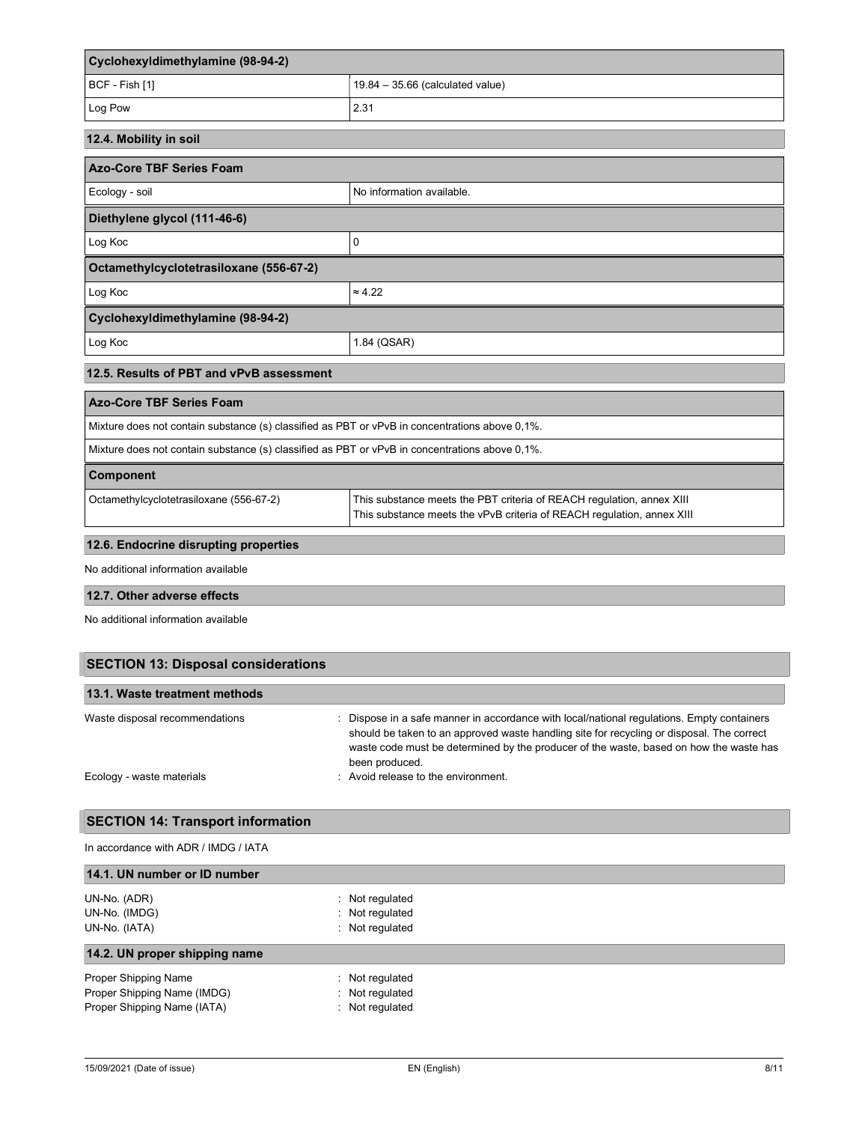| Cyclohexyldimethylamine (98-94-2)                                                              |                                                                                                                                                 |  |
|------------------------------------------------------------------------------------------------|-------------------------------------------------------------------------------------------------------------------------------------------------|--|
| BCF - Fish [1]                                                                                 | $19.84 - 35.66$ (calculated value)                                                                                                              |  |
| Log Pow                                                                                        | 2.31                                                                                                                                            |  |
| 12.4. Mobility in soil                                                                         |                                                                                                                                                 |  |
| <b>Azo-Core TBF Series Foam</b>                                                                |                                                                                                                                                 |  |
| Ecology - soil                                                                                 | No information available.                                                                                                                       |  |
| Diethylene glycol (111-46-6)                                                                   |                                                                                                                                                 |  |
| Log Koc                                                                                        | 0                                                                                                                                               |  |
| Octamethylcyclotetrasiloxane (556-67-2)                                                        |                                                                                                                                                 |  |
| Log Koc                                                                                        | $\approx 4.22$                                                                                                                                  |  |
| Cyclohexyldimethylamine (98-94-2)                                                              |                                                                                                                                                 |  |
| Log Koc                                                                                        | 1.84 (QSAR)                                                                                                                                     |  |
| 12.5. Results of PBT and vPvB assessment                                                       |                                                                                                                                                 |  |
| <b>Azo-Core TBF Series Foam</b>                                                                |                                                                                                                                                 |  |
| Mixture does not contain substance (s) classified as PBT or vPvB in concentrations above 0,1%. |                                                                                                                                                 |  |
| Mixture does not contain substance (s) classified as PBT or vPvB in concentrations above 0,1%. |                                                                                                                                                 |  |
| Component                                                                                      |                                                                                                                                                 |  |
| Octamethylcyclotetrasiloxane (556-67-2)                                                        | This substance meets the PBT criteria of REACH regulation, annex XIII<br>This substance meets the vPvB criteria of REACH regulation, annex XIII |  |
| 12.6. Endocrine disrupting properties                                                          |                                                                                                                                                 |  |
| No additional information available                                                            |                                                                                                                                                 |  |
| 12.7. Other adverse effects                                                                    |                                                                                                                                                 |  |

No additional information available

| <b>SECTION 13: Disposal considerations</b><br>13.1. Waste treatment methods |                                     |  |
|-----------------------------------------------------------------------------|-------------------------------------|--|
|                                                                             |                                     |  |
| Ecology - waste materials                                                   | : Avoid release to the environment. |  |

# SECTION 14: Transport information

| In accordance with ADR / IMDG / IATA |                     |  |
|--------------------------------------|---------------------|--|
| 14.1. UN number or ID number         |                     |  |
| UN-No. (ADR)                         | : Not regulated     |  |
| UN-No. (IMDG)                        | : Not regulated     |  |
| UN-No. (IATA)                        | Not regulated<br>÷. |  |
| 14.2. UN proper shipping name        |                     |  |
| Proper Shipping Name                 | : Not regulated     |  |
| Proper Shipping Name (IMDG)          | : Not regulated     |  |
| Proper Shipping Name (IATA)          | : Not regulated     |  |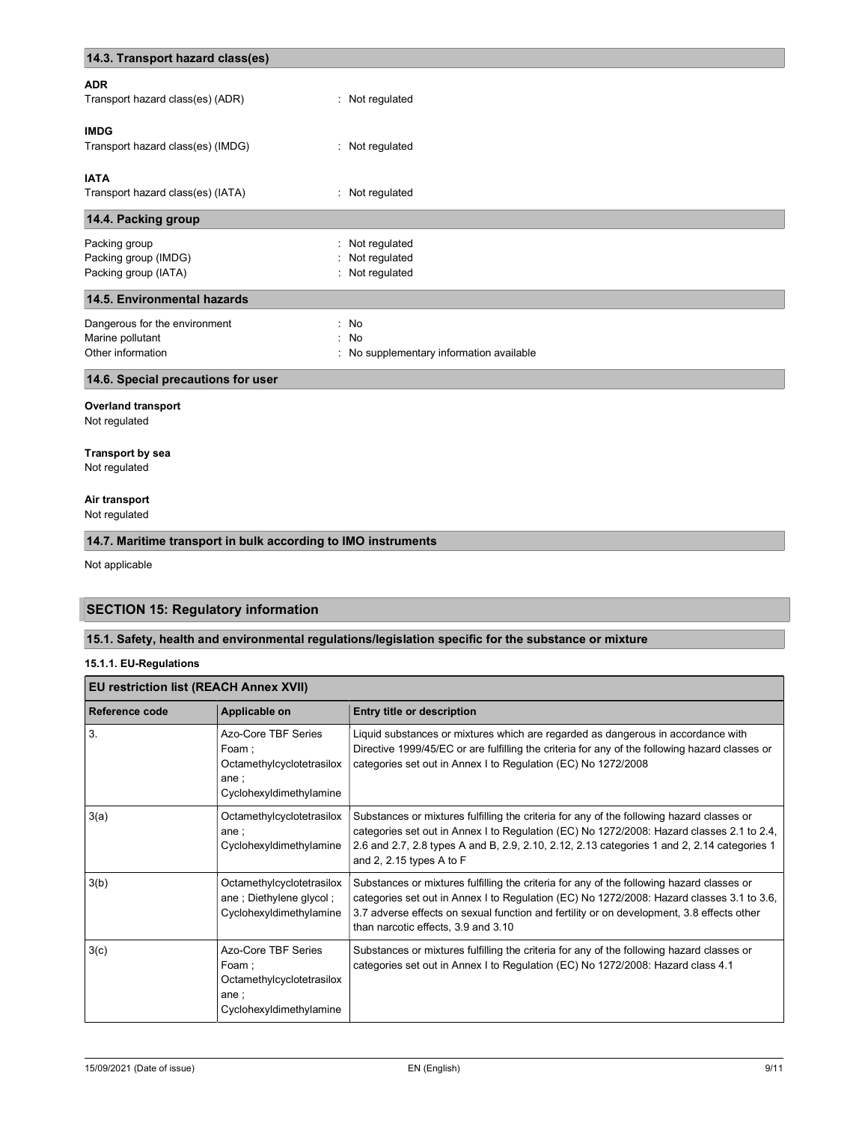| 14.3. Transport hazard class(es)   |                                          |
|------------------------------------|------------------------------------------|
| <b>ADR</b>                         |                                          |
| Transport hazard class(es) (ADR)   | : Not regulated                          |
| <b>IMDG</b>                        |                                          |
| Transport hazard class(es) (IMDG)  | : Not regulated                          |
| <b>IATA</b>                        |                                          |
| Transport hazard class(es) (IATA)  | : Not regulated                          |
| 14.4. Packing group                |                                          |
| Packing group                      | : Not regulated                          |
| Packing group (IMDG)               | : Not regulated                          |
| Packing group (IATA)               | : Not regulated                          |
| 14.5. Environmental hazards        |                                          |
| Dangerous for the environment      | : No                                     |
| Marine pollutant                   | : No                                     |
| Other information                  | : No supplementary information available |
| 14.6. Special precautions for user |                                          |
|                                    |                                          |

# Overland transport

Not regulated

# Transport by sea

Not regulated

# Air transport

Not regulated

# 14.7. Maritime transport in bulk according to IMO instruments

Not applicable

# SECTION 15: Regulatory information

# 15.1. Safety, health and environmental regulations/legislation specific for the substance or mixture

## 15.1.1. EU-Regulations

| <b>EU restriction list (REACH Annex XVII)</b> |                                                                                                       |                                                                                                                                                                                                                                                                                                                            |  |
|-----------------------------------------------|-------------------------------------------------------------------------------------------------------|----------------------------------------------------------------------------------------------------------------------------------------------------------------------------------------------------------------------------------------------------------------------------------------------------------------------------|--|
| Reference code                                | Applicable on                                                                                         | Entry title or description                                                                                                                                                                                                                                                                                                 |  |
| 3.                                            | Azo-Core TBF Series<br>Foam :<br>Octamethylcyclotetrasilox<br>ane $\colon$<br>Cyclohexyldimethylamine | Liquid substances or mixtures which are regarded as dangerous in accordance with<br>Directive 1999/45/EC or are fulfilling the criteria for any of the following hazard classes or<br>categories set out in Annex I to Regulation (EC) No 1272/2008                                                                        |  |
| 3(a)                                          | Octamethylcyclotetrasilox<br>ane:<br>Cyclohexyldimethylamine                                          | Substances or mixtures fulfilling the criteria for any of the following hazard classes or<br>categories set out in Annex I to Regulation (EC) No 1272/2008: Hazard classes 2.1 to 2.4,<br>2.6 and 2.7, 2.8 types A and B, 2.9, 2.10, 2.12, 2.13 categories 1 and 2, 2.14 categories 1<br>and 2, 2.15 types A to $F$        |  |
| 3(b)                                          | Octamethylcyclotetrasilox<br>ane; Diethylene glycol;<br>Cyclohexyldimethylamine                       | Substances or mixtures fulfilling the criteria for any of the following hazard classes or<br>categories set out in Annex I to Regulation (EC) No 1272/2008: Hazard classes 3.1 to 3.6,<br>3.7 adverse effects on sexual function and fertility or on development, 3.8 effects other<br>than narcotic effects, 3.9 and 3.10 |  |
| 3(c)                                          | Azo-Core TBF Series<br>Foam;<br>Octamethylcyclotetrasilox<br>ane $\colon$<br>Cyclohexyldimethylamine  | Substances or mixtures fulfilling the criteria for any of the following hazard classes or<br>categories set out in Annex I to Regulation (EC) No 1272/2008: Hazard class 4.1                                                                                                                                               |  |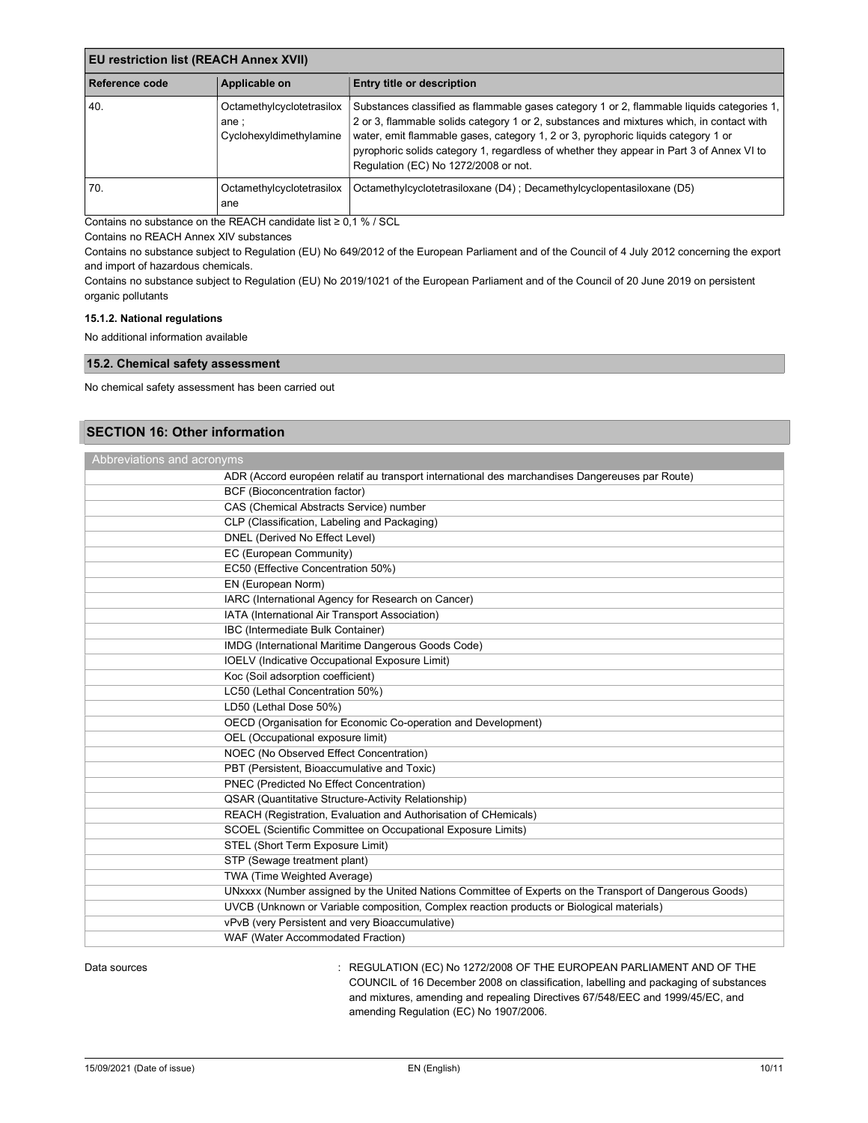| <b>EU restriction list (REACH Annex XVII)</b> |                                                               |                                                                                                                                                                                                                                                                                                                                                                                                                |  |
|-----------------------------------------------|---------------------------------------------------------------|----------------------------------------------------------------------------------------------------------------------------------------------------------------------------------------------------------------------------------------------------------------------------------------------------------------------------------------------------------------------------------------------------------------|--|
| Reference code                                | Applicable on                                                 | <b>Entry title or description</b>                                                                                                                                                                                                                                                                                                                                                                              |  |
| 40.                                           | Octamethylcyclotetrasilox<br>ane ;<br>Cyclohexyldimethylamine | Substances classified as flammable gases category 1 or 2, flammable liquids categories 1,<br>2 or 3, flammable solids category 1 or 2, substances and mixtures which, in contact with<br>water, emit flammable gases, category 1, 2 or 3, pyrophoric liquids category 1 or<br>pyrophoric solids category 1, regardless of whether they appear in Part 3 of Annex VI to<br>Regulation (EC) No 1272/2008 or not. |  |
| 70.                                           | Octamethylcyclotetrasilox<br>ane                              | Octamethylcyclotetrasiloxane (D4); Decamethylcyclopentasiloxane (D5)                                                                                                                                                                                                                                                                                                                                           |  |

Contains no substance on the REACH candidate list ≥ 0,1 % / SCL

Contains no REACH Annex XIV substances

Contains no substance subject to Regulation (EU) No 649/2012 of the European Parliament and of the Council of 4 July 2012 concerning the export and import of hazardous chemicals.

Contains no substance subject to Regulation (EU) No 2019/1021 of the European Parliament and of the Council of 20 June 2019 on persistent organic pollutants

# 15.1.2. National regulations

No additional information available

## 15.2. Chemical safety assessment

No chemical safety assessment has been carried out

# SECTION 16: Other information

| Abbreviations and acronyms                                                                              |  |  |
|---------------------------------------------------------------------------------------------------------|--|--|
| ADR (Accord européen relatif au transport international des marchandises Dangereuses par Route)         |  |  |
| BCF (Bioconcentration factor)                                                                           |  |  |
| CAS (Chemical Abstracts Service) number                                                                 |  |  |
| CLP (Classification, Labeling and Packaging)                                                            |  |  |
| DNEL (Derived No Effect Level)                                                                          |  |  |
| EC (European Community)                                                                                 |  |  |
| EC50 (Effective Concentration 50%)                                                                      |  |  |
| EN (European Norm)                                                                                      |  |  |
| IARC (International Agency for Research on Cancer)                                                      |  |  |
| IATA (International Air Transport Association)                                                          |  |  |
| IBC (Intermediate Bulk Container)                                                                       |  |  |
| IMDG (International Maritime Dangerous Goods Code)                                                      |  |  |
| <b>IOELV</b> (Indicative Occupational Exposure Limit)                                                   |  |  |
| Koc (Soil adsorption coefficient)                                                                       |  |  |
| LC50 (Lethal Concentration 50%)                                                                         |  |  |
| LD50 (Lethal Dose 50%)                                                                                  |  |  |
| OECD (Organisation for Economic Co-operation and Development)                                           |  |  |
| OEL (Occupational exposure limit)                                                                       |  |  |
| NOEC (No Observed Effect Concentration)                                                                 |  |  |
| PBT (Persistent, Bioaccumulative and Toxic)                                                             |  |  |
| PNEC (Predicted No Effect Concentration)                                                                |  |  |
| QSAR (Quantitative Structure-Activity Relationship)                                                     |  |  |
| REACH (Registration, Evaluation and Authorisation of CHemicals)                                         |  |  |
| SCOEL (Scientific Committee on Occupational Exposure Limits)                                            |  |  |
| STEL (Short Term Exposure Limit)                                                                        |  |  |
| STP (Sewage treatment plant)                                                                            |  |  |
| TWA (Time Weighted Average)                                                                             |  |  |
| UNxxxx (Number assigned by the United Nations Committee of Experts on the Transport of Dangerous Goods) |  |  |
| UVCB (Unknown or Variable composition, Complex reaction products or Biological materials)               |  |  |
| vPvB (very Persistent and very Bioaccumulative)                                                         |  |  |
| WAF (Water Accommodated Fraction)                                                                       |  |  |

Data sources **State State State State State State State State State State State State State State State State State State State State State State State State State State State State State State State State State State Stat** COUNCIL of 16 December 2008 on classification, labelling and packaging of substances and mixtures, amending and repealing Directives 67/548/EEC and 1999/45/EC, and amending Regulation (EC) No 1907/2006.